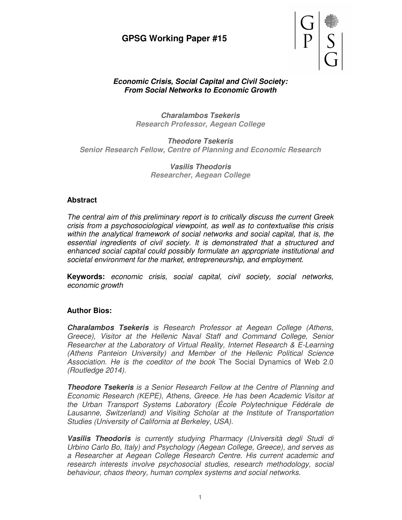# **GPSG Working Paper #15**



### **Economic Crisis, Social Capital and Civil Society: From Social Networks to Economic Growth**

**Charalambos Tsekeris Research Professor, Aegean College** 

**Theodore Tsekeris Senior Research Fellow, Centre of Planning and Economic Research** 

> **Vasilis Theodoris Researcher, Aegean College**

### **Abstract**

The central aim of this preliminary report is to critically discuss the current Greek crisis from a psychosociological viewpoint, as well as to contextualise this crisis within the analytical framework of social networks and social capital, that is, the essential ingredients of civil society. It is demonstrated that a structured and enhanced social capital could possibly formulate an appropriate institutional and societal environment for the market, entrepreneurship, and employment.

**Keywords:** economic crisis, social capital, civil society, social networks, economic growth

### **Author Bios:**

**Charalambos Tsekeris** is Research Professor at Aegean College (Athens, Greece), Visitor at the Hellenic Naval Staff and Command College, Senior Researcher at the Laboratory of Virtual Reality, Internet Research & E-Learning (Athens Panteion University) and Member of the Hellenic Political Science Association. He is the coeditor of the book The Social Dynamics of Web 2.0 (Routledge 2014).

**Theodore Tsekeris** is a Senior Research Fellow at the Centre of Planning and Economic Research (KEPE), Athens, Greece. He has been Academic Visitor at the Urban Transport Systems Laboratory (École Polytechnique Fédérale de Lausanne, Switzerland) and Visiting Scholar at the Institute of Transportation Studies (University of California at Berkeley, USA).

**Vasilis Theodoris** is currently studying Pharmacy (Università degli Studi di Urbino Carlo Bo, Italy) and Psychology (Aegean College, Greece), and serves as a Researcher at Aegean College Research Centre. His current academic and research interests involve psychosocial studies, research methodology, social behaviour, chaos theory, human complex systems and social networks.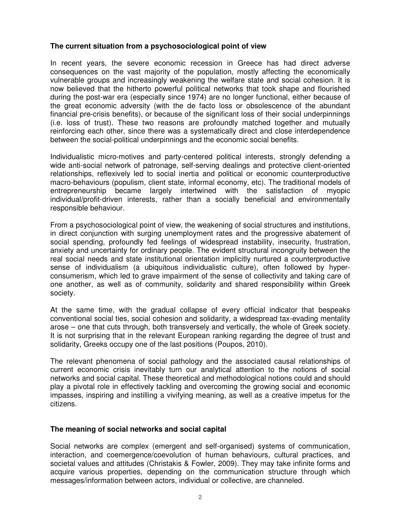### **The current situation from a psychosociological point of view**

In recent years, the severe economic recession in Greece has had direct adverse consequences on the vast majority of the population, mostly affecting the economically vulnerable groups and increasingly weakening the welfare state and social cohesion. It is now believed that the hitherto powerful political networks that took shape and flourished during the post-war era (especially since 1974) are no longer functional, either because of the great economic adversity (with the de facto loss or obsolescence of the abundant financial pre-crisis benefits), or because of the significant loss of their social underpinnings (i.e. loss of trust). These two reasons are profoundly matched together and mutually reinforcing each other, since there was a systematically direct and close interdependence between the social-political underpinnings and the economic social benefits.

Individualistic micro-motives and party-centered political interests, strongly defending a wide anti-social network of patronage, self-serving dealings and protective client-oriented relationships, reflexively led to social inertia and political or economic counterproductive macro-behaviours (populism, client state, informal economy, etc). The traditional models of entrepreneurship became largely intertwined with the satisfaction of myopic individual/profit-driven interests, rather than a socially beneficial and environmentally responsible behaviour.

From a psychosociological point of view, the weakening of social structures and institutions, in direct conjunction with surging unemployment rates and the progressive abatement of social spending, profoundly fed feelings of widespread instability, insecurity, frustration, anxiety and uncertainty for ordinary people. The evident structural incongruity between the real social needs and state institutional orientation implicitly nurtured a counterproductive sense of individualism (a ubiquitous individualistic culture), often followed by hyperconsumerism, which led to grave impairment of the sense of collectivity and taking care of one another, as well as of community, solidarity and shared responsibility within Greek society.

At the same time, with the gradual collapse of every official indicator that bespeaks conventional social ties, social cohesion and solidarity, a widespread tax-evading mentality arose – one that cuts through, both transversely and vertically, the whole of Greek society. It is not surprising that in the relevant European ranking regarding the degree of trust and solidarity, Greeks occupy one of the last positions (Poupos, 2010).

The relevant phenomena of social pathology and the associated causal relationships of current economic crisis inevitably turn our analytical attention to the notions of social networks and social capital. These theoretical and methodological notions could and should play a pivotal role in effectively tackling and overcoming the growing social and economic impasses, inspiring and instilling a vivifying meaning, as well as a creative impetus for the citizens.

### **The meaning of social networks and social capital**

Social networks are complex (emergent and self-organised) systems of communication, interaction, and coemergence/coevolution of human behaviours, cultural practices, and societal values and attitudes (Christakis & Fowler, 2009). They may take infinite forms and acquire various properties, depending on the communication structure through which messages/information between actors, individual or collective, are channeled.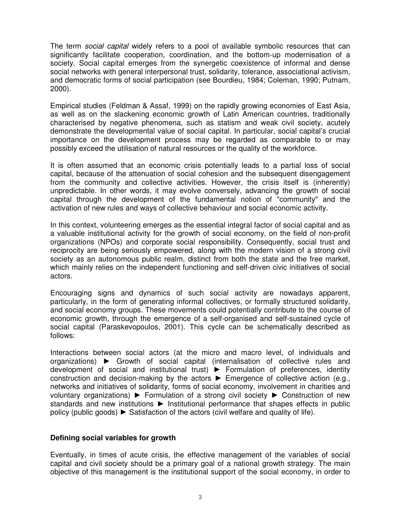The term social capital widely refers to a pool of available symbolic resources that can significantly facilitate cooperation, coordination, and the bottom-up modernisation of a society. Social capital emerges from the synergetic coexistence of informal and dense social networks with general interpersonal trust, solidarity, tolerance, associational activism, and democratic forms of social participation (see Bourdieu, 1984; Coleman, 1990; Putnam, 2000).

Empirical studies (Feldman & Assaf, 1999) on the rapidly growing economies of East Asia, as well as on the slackening economic growth of Latin American countries, traditionally characterised by negative phenomena, such as statism and weak civil society, acutely demonstrate the developmental value of social capital. In particular, social capital's crucial importance on the development process may be regarded as comparable to or may possibly exceed the utilisation of natural resources or the quality of the workforce.

It is often assumed that an economic crisis potentially leads to a partial loss of social capital, because of the attenuation of social cohesion and the subsequent disengagement from the community and collective activities. However, the crisis itself is (inherently) unpredictable. In other words, it may evolve conversely, advancing the growth of social capital through the development of the fundamental notion of "community" and the activation of new rules and ways of collective behaviour and social economic activity.

In this context, volunteering emerges as the essential integral factor of social capital and as a valuable institutional activity for the growth of social economy, on the field of non-profit organizations (NPOs) and corporate social responsibility. Consequently, social trust and reciprocity are being seriously empowered, along with the modern vision of a strong civil society as an autonomous public realm, distinct from both the state and the free market, which mainly relies on the independent functioning and self-driven civic initiatives of social actors.

Encouraging signs and dynamics of such social activity are nowadays apparent, particularly, in the form of generating informal collectives, or formally structured solidarity, and social economy groups. These movements could potentially contribute to the course of economic growth, through the emergence of a self-organised and self-sustained cycle of social capital (Paraskevopoulos, 2001). This cycle can be schematically described as follows:

Interactions between social actors (at the micro and macro level, of individuals and organizations) ► Growth of social capital (internalisation of collective rules and development of social and institutional trust) ► Formulation of preferences, identity construction and decision-making by the actors ► Emergence of collective action (e.g., networks and initiatives of solidarity, forms of social economy, involvement in charities and voluntary organizations) ► Formulation of a strong civil society ► Construction of new standards and new institutions ► Institutional performance that shapes effects in public policy (public goods) ► Satisfaction of the actors (civil welfare and quality of life).

### **Defining social variables for growth**

Eventually, in times of acute crisis, the effective management of the variables of social capital and civil society should be a primary goal of a national growth strategy. The main objective of this management is the institutional support of the social economy, in order to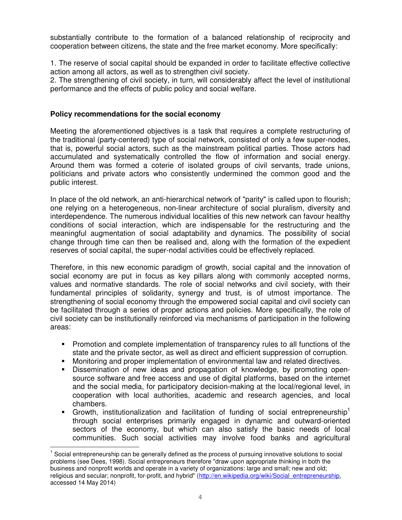substantially contribute to the formation of a balanced relationship of reciprocity and cooperation between citizens, the state and the free market economy. More specifically:

1. The reserve of social capital should be expanded in order to facilitate effective collective action among all actors, as well as to strengthen civil society.

2. The strengthening of civil society, in turn, will considerably affect the level of institutional performance and the effects of public policy and social welfare.

## **Policy recommendations for the social economy**

Meeting the aforementioned objectives is a task that requires a complete restructuring of the traditional (party-centered) type of social network, consisted of only a few super-nodes, that is, powerful social actors, such as the mainstream political parties. Those actors had accumulated and systematically controlled the flow of information and social energy. Around them was formed a coterie of isolated groups of civil servants, trade unions, politicians and private actors who consistently undermined the common good and the public interest.

In place of the old network, an anti-hierarchical network of "parity" is called upon to flourish; one relying on a heterogeneous, non-linear architecture of social pluralism, diversity and interdependence. The numerous individual localities of this new network can favour healthy conditions of social interaction, which are indispensable for the restructuring and the meaningful augmentation of social adaptability and dynamics. The possibility of social change through time can then be realised and, along with the formation of the expedient reserves of social capital, the super-nodal activities could be effectively replaced.

Therefore, in this new economic paradigm of growth, social capital and the innovation of social economy are put in focus as key pillars along with commonly accepted norms, values and normative standards. The role of social networks and civil society, with their fundamental principles of solidarity, synergy and trust, is of utmost importance. The strengthening of social economy through the empowered social capital and civil society can be facilitated through a series of proper actions and policies. More specifically, the role of civil society can be institutionally reinforced via mechanisms of participation in the following areas:

- Promotion and complete implementation of transparency rules to all functions of the state and the private sector, as well as direct and efficient suppression of corruption.
- **Monitoring and proper implementation of environmental law and related directives.**
- Dissemination of new ideas and propagation of knowledge, by promoting opensource software and free access and use of digital platforms, based on the internet and the social media, for participatory decision-making at the local/regional level, in cooperation with local authorities, academic and research agencies, and local chambers.
- Growth, institutionalization and facilitation of funding of social entrepreneurship<sup>1</sup> through social enterprises primarily engaged in dynamic and outward-oriented sectors of the economy, but which can also satisfy the basic needs of local communities. Such social activities may involve food banks and agricultural

l

<sup>&</sup>lt;sup>1</sup> Social entrepreneurship can be generally defined as the process of pursuing innovative solutions to social problems (see Dees, 1998). Social entrepreneurs therefore "draw upon appropriate thinking in both the business and nonprofit worlds and operate in a variety of organizations: large and small; new and old; religious and secular; nonprofit, for-profit, and hybrid" (http://en.wikipedia.org/wiki/Social\_entrepreneurship, accessed 14 May 2014)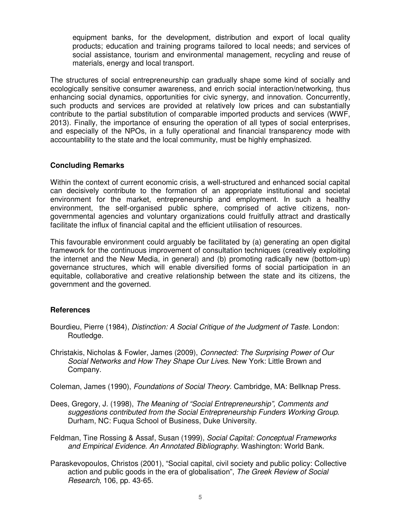equipment banks, for the development, distribution and export of local quality products; education and training programs tailored to local needs; and services of social assistance, tourism and environmental management, recycling and reuse of materials, energy and local transport.

The structures of social entrepreneurship can gradually shape some kind of socially and ecologically sensitive consumer awareness, and enrich social interaction/networking, thus enhancing social dynamics, opportunities for civic synergy, and innovation. Concurrently, such products and services are provided at relatively low prices and can substantially contribute to the partial substitution of comparable imported products and services (WWF, 2013). Finally, the importance of ensuring the operation of all types of social enterprises, and especially of the NPOs, in a fully operational and financial transparency mode with accountability to the state and the local community, must be highly emphasized.

### **Concluding Remarks**

Within the context of current economic crisis, a well-structured and enhanced social capital can decisively contribute to the formation of an appropriate institutional and societal environment for the market, entrepreneurship and employment. In such a healthy environment, the self-organised public sphere, comprised of active citizens, nongovernmental agencies and voluntary organizations could fruitfully attract and drastically facilitate the influx of financial capital and the efficient utilisation of resources.

This favourable environment could arguably be facilitated by (a) generating an open digital framework for the continuous improvement of consultation techniques (creatively exploiting the internet and the New Media, in general) and (b) promoting radically new (bottom-up) governance structures, which will enable diversified forms of social participation in an equitable, collaborative and creative relationship between the state and its citizens, the government and the governed.

### **References**

- Bourdieu, Pierre (1984), Distinction: A Social Critique of the Judgment of Taste. London: Routledge.
- Christakis, Nicholas & Fowler, James (2009), Connected: The Surprising Power of Our Social Networks and How They Shape Our Lives. New York: Little Brown and Company.

Coleman, James (1990), Foundations of Social Theory. Cambridge, MA: Bellknap Press.

- Dees, Gregory, J. (1998), The Meaning of "Social Entrepreneurship", Comments and suggestions contributed from the Social Entrepreneurship Funders Working Group. Durham, NC: Fuqua School of Business, Duke University.
- Feldman, Tine Rossing & Assaf, Susan (1999), Social Capital: Conceptual Frameworks and Empirical Evidence. An Annotated Bibliography. Washington: World Bank.
- Paraskevopoulos, Christos (2001), "Social capital, civil society and public policy: Collective action and public goods in the era of globalisation", The Greek Review of Social Research, 106, pp. 43-65.